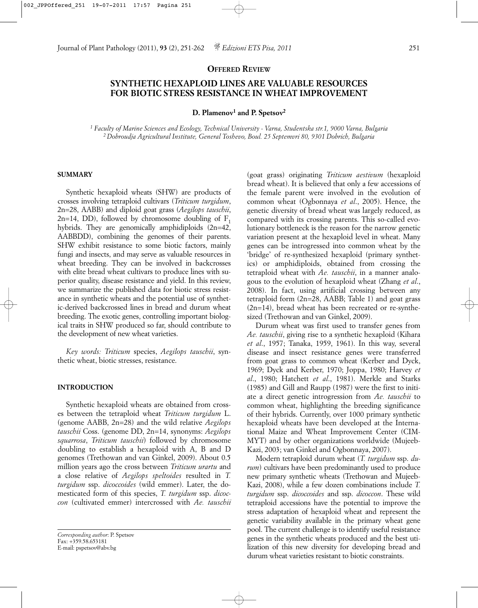## **OFFERED REVIEW**

# **SYNTHETIC HEXAPLOID LINES ARE VALUABLE RESOURCES FOR BIOTIC STRESS RESISTANCE IN WHEAT IMPROVEMENT**

#### **D. Plamenov1 and P. Spetsov2**

*<sup>1</sup> Faculty of Marine Sciences and Ecology, Technical University - Varna, Studentska str.1, 9000 Varna, Bulgaria 2 Dobroudja Agricultural Institute, General Toshevo, Boul. 25 Septemvri 80, 9301 Dobrich, Bulgaria*

### **SUMMARY**

Synthetic hexaploid wheats (SHW) are products of crosses involving tetraploid cultivars (*Triticum turgidum*, 2n=28, AABB) and diploid goat grass (*Aegilops tauschii*,  $2n=14$ , DD), followed by chromosome doubling of  $F_1$ hybrids. They are genomically amphidiploids (2n=42, AABBDD), combining the genomes of their parents. SHW exhibit resistance to some biotic factors, mainly fungi and insects, and may serve as valuable resources in wheat breeding. They can be involved in backcrosses with elite bread wheat cultivars to produce lines with superior quality, disease resistance and yield. In this review, we summarize the published data for biotic stress resistance in synthetic wheats and the potential use of synthetic-derived backcrossed lines in bread and durum wheat breeding. The exotic genes, controlling important biological traits in SHW produced so far, should contribute to the development of new wheat varieties.

*Key words: Triticum* species, *Aegilops tauschii*, synthetic wheat, biotic stresses, resistance.

#### **INTRODUCTION**

Synthetic hexaploid wheats are obtained from crosses between the tetraploid wheat *Triticum turgidum* L. (genome AABB, 2n=28) and the wild relative *Aegilops tauschii* Coss. (genome DD, 2n=14, synonyms: *Aegilops squarrosa*, *Triticum tauschii*) followed by chromosome doubling to establish a hexaploid with A, B and D genomes (Trethowan and van Ginkel, 2009). About 0.5 million years ago the cross between *Triticum urartu* and a close relative of *Aegilops speltoides* resulted in *T. turgidum* ssp. *dicoccoides* (wild emmer). Later, the domesticated form of this species, *T. turgidum* ssp. *dicoccon* (cultivated emmer) intercrossed with *Ae. tauschii*

(goat grass) originating *Triticum aestivum* (hexaploid bread wheat). It is believed that only a few accessions of the female parent were involved in the evolution of common wheat (Ogbonnaya *et al*., 2005). Hence, the genetic diversity of bread wheat was largely reduced, as compared with its crossing parents. This so-called evolutionary bottleneck is the reason for the narrow genetic variation present at the hexaploid level in wheat. Many genes can be introgressed into common wheat by the 'bridge' of re-synthesized hexaploid (primary synthetics) or amphidiploids, obtained from crossing the tetraploid wheat with *Ae. tauschii*, in a manner analogous to the evolution of hexaploid wheat (Zhang *et al*., 2008). In fact, using artificial crossing between any tetraploid form (2n=28, AABB; Table 1) and goat grass (2n=14), bread wheat has been recreated or re-synthesized (Trethowan and van Ginkel, 2009).

Durum wheat was first used to transfer genes from *Ae. tauschii*, giving rise to a synthetic hexaploid (Kihara *et al*., 1957; Tanaka, 1959, 1961). In this way, several disease and insect resistance genes were transferred from goat grass to common wheat (Kerber and Dyck, 1969; Dyck and Kerber, 1970; Joppa, 1980; Harvey *et al*., 1980; Hatchett *et al*., 1981). Merkle and Starks (1985) and Gill and Raupp (1987) were the first to initiate a direct genetic introgression from *Ae. tauschii* to common wheat, highlighting the breeding significance of their hybrids. Currently, over 1000 primary synthetic hexaploid wheats have been developed at the International Maize and Wheat Improvement Center (CIM-MYT) and by other organizations worldwide (Mujeeb-Kazi, 2003; van Ginkel and Ogbonnaya, 2007).

Modern tetraploid durum wheat (*T. turgidum* ssp. *durum*) cultivars have been predominantly used to produce new primary synthetic wheats (Trethowan and Mujeeb-Kazi, 2008), while a few dozen combinations include *T. turgidum* ssp. *dicoccoides* and ssp. *dicoccon*. These wild tetraploid accessions have the potential to improve the stress adaptation of hexaploid wheat and represent the genetic variability available in the primary wheat gene pool. The current challenge is to identify useful resistance genes in the synthetic wheats produced and the best utilization of this new diversity for developing bread and durum wheat varieties resistant to biotic constraints.

*Corresponding author*: P. Spetsov Fax: +359.58.653181 E-mail: pspetsov@abv.bg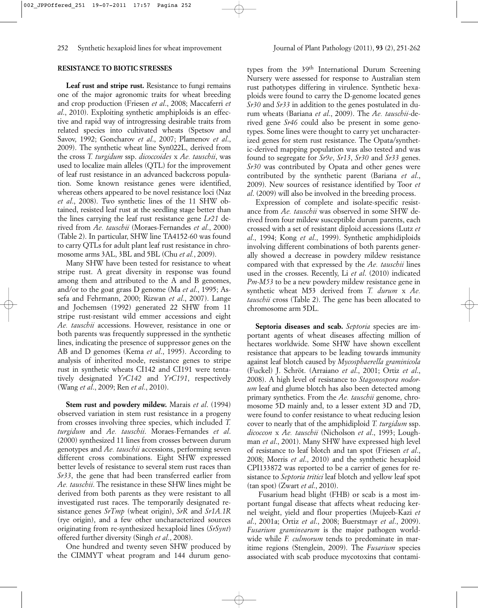## **RESISTANCE TO BIOTIC STRESSES**

**Leaf rust and stripe rust.** Resistance to fungi remains one of the major agronomic traits for wheat breeding and crop production (Friesen *et al*., 2008; Maccaferri *et al*., 2010). Exploiting synthetic amphiploids is an effective and rapid way of introgressing desirable traits from related species into cultivated wheats (Spetsov and Savov, 1992; Goncharov *et al*., 2007; Plamenov *et al*., 2009). The synthetic wheat line Syn022L, derived from the cross *T. turgidum* ssp. *dicoccoides* x *Ae. tauschii*, was used to localize main alleles (QTL) for the improvement of leaf rust resistance in an advanced backcross population. Some known resistance genes were identified, whereas others appeared to be novel resistance loci (Naz *et al*., 2008). Two synthetic lines of the 11 SHW obtained, resisted leaf rust at the seedling stage better than the lines carrying the leaf rust resistance gene *Lr21* derived from *Ae. tauschii* (Moraes-Fernandes *et al*., 2000) (Table 2). In particular, SHW line TA4152-60 was found to carry QTLs for adult plant leaf rust resistance in chromosome arms 3AL, 3BL and 5BL (Chu *et al.*, 2009).

Many SHW have been tested for resistance to wheat stripe rust. A great diversity in response was found among them and attributed to the A and B genomes, and/or to the goat grass D genome (Ma *et al*., 1995; Assefa and Fehrmann, 2000; Rizwan *et al*., 2007). Lange and Jochemsen (1992) generated 22 SHW from 11 stripe rust-resistant wild emmer accessions and eight *Ae. tauschii* accessions. However, resistance in one or both parents was frequently suppressed in the synthetic lines, indicating the presence of suppressor genes on the AB and D genomes (Kema *et al*., 1995). According to analysis of inherited mode, resistance genes to stripe rust in synthetic wheats CI142 and CI191 were tentatively designated *YrC142* and *YrC191*, respectively (Wang *et al*., 2009; Ren *et al*., 2010).

**Stem rust and powdery mildew.** Marais *et al*. (1994) observed variation in stem rust resistance in a progeny from crosses involving three species, which included *T. turgidum* and *Ae. tauschii*. Moraes-Fernandes *et al*. (2000) synthesized 11 lines from crosses between durum genotypes and *Ae. tauschii* accessions, performing seven different cross combinations. Eight SHW expressed better levels of resistance to several stem rust races than *Sr33*, the gene that had been transferred earlier from *Ae. tauschii*. The resistance in these SHW lines might be derived from both parents as they were resistant to all investigated rust races. The temporarily designated resistance genes *SrTmp* (wheat origin), *SrR* and *Sr1A.1R* (rye origin), and a few other uncharacterized sources originating from re-synthesized hexaploid lines (*SrSynt*) offered further diversity (Singh *et al*., 2008).

One hundred and twenty seven SHW produced by the CIMMYT wheat program and 144 durum geno-

types from the 39th International Durum Screening Nursery were assessed for response to Australian stem rust pathotypes differing in virulence. Synthetic hexaploids were found to carry the D-genome located genes *Sr30* and *Sr33* in addition to the genes postulated in durum wheats (Bariana *et al*., 2009). The *Ae. tauschii*-derived gene *Sr46* could also be present in some genotypes. Some lines were thought to carry yet uncharacterized genes for stem rust resistance. The Opata/synthetic-derived mapping population was also tested and was found to segregate for *Sr9e*, *Sr13*, *Sr30* and *Sr33* genes. *Sr30* was contributed by Opata and other genes were contributed by the synthetic parent (Bariana *et al*., 2009). New sources of resistance identified by Toor *et al*. (2009) will also be involved in the breeding process.

Expression of complete and isolate-specific resistance from *Ae. tauschii* was observed in some SHW derived from four mildew susceptible durum parents, each crossed with a set of resistant diploid accessions (Lutz *et al*., 1994; Kong *et al*., 1999). Synthetic amphidiploids involving different combinations of both parents generally showed a decrease in powdery mildew resistance compared with that expressed by the *Ae. tauschii* lines used in the crosses. Recently, Li *et al*. (2010) indicated *Pm-M53* to be a new powdery mildew resistance gene in synthetic wheat M53 derived from *T. durum* x *Ae. tauschii* cross (Table 2). The gene has been allocated to chromosome arm 5DL.

**Septoria diseases and scab.** *Septoria* species are important agents of wheat diseases affecting million of hectares worldwide. Some SHW have shown excellent resistance that appears to be leading towards immunity against leaf blotch caused by *Mycosphaerella graminicola* (Fuckel) J. Schröt. (Arraiano *et al*., 2001; Ortiz *et al*., 2008). A high level of resistance to *Stagonospora nodorum* leaf and glume blotch has also been detected among primary synthetics. From the *Ae. tauschii* genome, chromosome 5D mainly and, to a lesser extent 3D and 7D, were found to confer resistance to wheat reducing lesion cover to nearly that of the amphidiploid *T. turgidum* ssp. *dicoccon* x *Ae. tauschii* (Nicholson *et al*., 1993; Loughman *et al*., 2001). Many SHW have expressed high level of resistance to leaf blotch and tan spot (Friesen *et al*., 2008; Morris *et al*., 2010) and the synthetic hexaploid CPI133872 was reported to be a carrier of genes for resistance to *Septoria tritici* leaf blotch and yellow leaf spot (tan spot) (Zwart *et al*., 2010).

Fusarium head blight (FHB) or scab is a most important fungal disease that affects wheat reducing kernel weight, yield and flour properties (Mujeeb-Kazi *et al*., 2001a; Ortiz *et al*., 2008; Buerstmayr *et al*., 2009). *Fusarium graminearum* is the major pathogen worldwide while *F. culmorum* tends to predominate in maritime regions (Stenglein, 2009). The *Fusarium* species associated with scab produce mycotoxins that contami-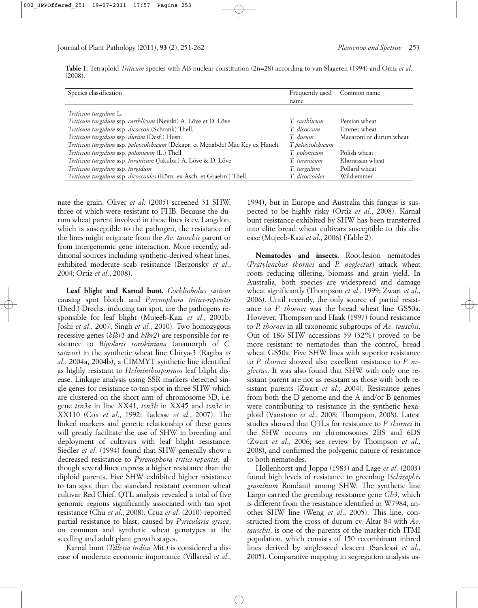|         | Table 1. Tetraploid Triticum species with AB-nuclear constitution (2n=28) according to van Slageren (1994) and Ortiz et al. |  |  |  |  |  |  |  |
|---------|-----------------------------------------------------------------------------------------------------------------------------|--|--|--|--|--|--|--|
| (2008). |                                                                                                                             |  |  |  |  |  |  |  |

| Species classification                                                       | Frequently used  | Common name             |
|------------------------------------------------------------------------------|------------------|-------------------------|
|                                                                              | name             |                         |
| Triticum turgidum L.                                                         |                  |                         |
| Triticum turgidum ssp. carthlicum (Nevski) A. Löve et D. Löve                | T. carthlicum    | Persian wheat           |
| Triticum turgidum ssp. dicoccon (Schrank) Thell.                             | T. dicoccum      | Emmer wheat             |
| Triticum turgidum ssp. durum (Desf.) Husn.                                   | T. durum         | Macaroni or durum wheat |
| Triticum turgidum ssp. paleocolchicum (Dekapr. et Menabde) Mac Key ex Hanelt | T.paleocolchicum |                         |
| Triticum turgidum ssp. polonicum (L.) Thell.                                 | T. polonicum     | Polish wheat            |
| Triticum turgidum ssp. turanicum (Jakubz.) A. Löve & D. Löve                 | T. turanicum     | Khorassan wheat         |
| Triticum turgidum ssp. turgidum                                              | T. turgidum      | Pollard wheat           |
| Triticum turgidum ssp. dicoccoides (Körn. ex Asch. et Graebn.) Thell.        | T. dicoccoides   | Wild emmer              |

nate the grain. Oliver *et al*. (2005) screened 31 SHW, three of which were resistant to FHB. Because the durum wheat parent involved in these lines is cv. Langdon, which is susceptible to the pathogen, the resistance of the lines might originate from the *Ae. tauschii* parent or from intergenomic gene interaction. More recently, additional sources including synthetic-derived wheat lines, exhibited moderate scab resistance (Berzonsky *et al*., 2004; Ortiz *et al*., 2008).

**Leaf blight and Karnal bunt.** *Cochliobolus sativus* causing spot blotch and *Pyrenophora tritici*-*repentis* (Died.) Drechs. inducing tan spot, are the pathogens responsible for leaf blight (Mujeeb-Kazi *et al*., 2001b; Joshi *et al*., 2007; Singh *et al*., 2010). Two homozygous recessive genes (*hlbr1* and *hlbr2*) are responsible for resistance to *Bipolaris sorokiniana* (anamorph of *C. sativus*) in the synthetic wheat line Chirya-3 (Ragiba *et al*., 2004a, 2004b), a CIMMYT synthetic line identified as highly resistant to *Helminthosporium* leaf blight disease. Linkage analysis using SSR markers detected single genes for resistance to tan spot in three SHW which are clustered on the short arm of chromosome 3D, i.e. gene *tsn3a* in line XX41, *tsn3b* in XX45 and *tsn3c* in XX110 (Cox *et al*., 1992; Tadesse *et al*., 2007). The linked markers and genetic relationship of these genes will greatly facilitate the use of SHW in breeding and deployment of cultivars with leaf blight resistance. Siedler *et al*. (1994) found that SHW generally show a decreased resistance to *Pyrenophora tritici-repentis*, although several lines express a higher resistance than the diploid parents. Five SHW exhibited higher resistance to tan spot than the standard resistant common wheat cultivar Red Chief. QTL analysis revealed a total of five genomic regions significantly associated with tan spot resistance (Chu *et al*., 2008). Cruz *et al*. (2010) reported partial resistance to blast, caused by *Pyricularia grisea*, on common and synthetic wheat genotypes at the seedling and adult plant growth stages.

Karnal bunt (*Tilletia indica* Mit.) is considered a disease of moderate economic importance (Villareal *et al*.,

1994), but in Europe and Australia this fungus is suspected to be highly risky (Ortiz *et al*., 2008). Karnal bunt resistance exhibited by SHW has been transferred into elite bread wheat cultivars susceptible to this disease (Mujeeb-Kazi *et al*., 2006) (Table 2).

**Nematodes and insects.** Root-lesion nematodes (*Pratylenchus thornei* and *P. neglectus*) attack wheat roots reducing tillering, biomass and grain yield. In Australia, both species are widespread and damage wheat significantly (Thompson *et al*., 1999; Zwart *et al*., 2006). Until recently, the only source of partial resistance to *P. thornei* was the bread wheat line GS50a. However, Thompson and Haak (1997) found resistance to *P. thornei* in all taxonomic subgroups of *Ae. tauschii*. Out of 186 SHW accessions 59 (32%) proved to be more resistant to nematodes than the control, bread wheat GS50a. Five SHW lines with superior resistance to *P. thornei* showed also excellent resistance to *P. neglectus*. It was also found that SHW with only one resistant parent are not as resistant as those with both resistant parents (Zwart *et al*., 2004). Resistance genes from both the D genome and the A and/or B genomes were contributing to resistance in the synthetic hexaploid (Vanstone *et al*., 2008; Thompson, 2008). Latest studies showed that QTLs for resistance to *P. thornei* in the SHW occurrs on chromosomes 2BS and 6DS (Zwart *et al*., 2006; see review by Thompson *et al*., 2008), and confirmed the polygenic nature of resistance to both nematodes.

Hollenhorst and Joppa (1983) and Lage *et al*. (2003) found high levels of resistance to greenbug (*Schizaphis graminum* Rondani) among SHW. The synthetic line Largo carried the greenbug resistance gene *Gb3*, which is different from the resistance identified in W7984, another SHW line (Weng *et al*., 2005). This line, constructed from the cross of durum cv. Altar 84 with *Ae. tauschii*, is one of the parents of the marker-rich ITMI population, which consists of 150 recombinant inbred lines derived by single-seed descent (Sardesai *et al*., 2005). Comparative mapping in segregation analysis us-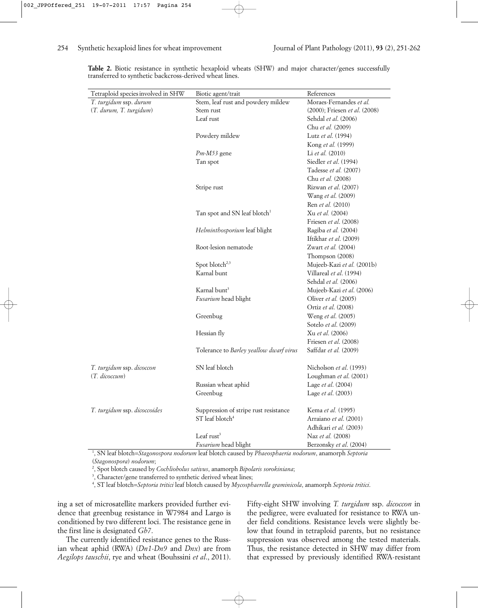| Tetraploid species involved in SHW | Biotic agent/trait                       | References                                |
|------------------------------------|------------------------------------------|-------------------------------------------|
| T. turgidum ssp. durum             | Stem, leaf rust and powdery mildew       | Moraes-Fernandes et al.                   |
| (T. durum, T. turgidum)            | Stem rust                                | $(2000)$ ; Friesen <i>et al.</i> $(2008)$ |
|                                    | Leaf rust                                | Sehdal et al. (2006)                      |
|                                    |                                          | Chu et al. (2009)                         |
|                                    | Powdery mildew                           | Lutz et al. (1994)                        |
|                                    |                                          | Kong et al. (1999)                        |
|                                    | $Pm-M53$ gene                            | Li et al. (2010)                          |
|                                    | Tan spot                                 | Siedler et al. (1994)                     |
|                                    |                                          | Tadesse et al. (2007)                     |
|                                    |                                          | Chu et al. (2008)                         |
|                                    | Stripe rust                              | Rizwan et al. (2007)                      |
|                                    |                                          | Wang et al. (2009)                        |
|                                    |                                          | Ren et al. (2010)                         |
|                                    | Tan spot and SN leaf blotch <sup>1</sup> | Xu et al. (2004)                          |
|                                    |                                          | Friesen et al. (2008)                     |
|                                    | Helminthosporium leaf blight             | Ragiba et al. (2004)                      |
|                                    |                                          | Iftikhar et al. (2009)                    |
|                                    | Root-lesion nematode                     | Zwart et al. (2004)                       |
|                                    |                                          | Thompson (2008)                           |
|                                    | Spot blotch <sup>2,3</sup>               | Mujeeb-Kazi et al. (2001b)                |
|                                    | Karnal bunt                              | Villareal et al. (1994)                   |
|                                    |                                          | Sehdal et al. (2006)                      |
|                                    | Karnal bunt <sup>3</sup>                 | Mujeeb-Kazi et al. (2006)                 |
|                                    | Fusarium head blight                     | Oliver et al. (2005)                      |
|                                    |                                          | Ortiz et al. (2008)                       |
|                                    | Greenbug                                 | Weng et al. (2005)                        |
|                                    |                                          | Sotelo et al. (2009)                      |
|                                    | Hessian fly                              | Xu et al. (2006)                          |
|                                    |                                          | Friesen et al. (2008)                     |
|                                    | Tolerance to Barley yeallow dwarf virus  | Saffdar et al. (2009)                     |
| T. turgidum ssp. dicoccon          | SN leaf blotch                           | Nicholson et al. (1993)                   |
| (T. dicoccum)                      |                                          | Loughman et al. (2001)                    |
|                                    | Russian wheat aphid                      | Lage et al. (2004)                        |
|                                    | Greenbug                                 | Lage et al. (2003)                        |
| T. turgidum ssp. dicoccoides       | Suppression of stripe rust resistance    | Kema et al. (1995)                        |
|                                    | ST leaf blotch <sup>4</sup>              | Arraiano et al. (2001)                    |
|                                    |                                          | Adhikari et al. (2003)                    |
|                                    | Leaf rust <sup>3</sup>                   | Naz et al. (2008)                         |
|                                    | Fusarium head blight                     | Berzonsky et al. (2004)                   |

**Table 2.** Biotic resistance in synthetic hexaploid wheats (SHW) and major character/genes successfully transferred to synthetic backcross-derived wheat lines.

1 , SN leaf blotch=*Stagonospora nodorum* leaf blotch caused by *Phaeosphaeria nodorum*, anamorph *Septoria* (*Stagonospora*) *nodorum*;

2 , Spot blotch caused by *Cochliobolus sativus*, anamorph *Bipolaris sorokiniana*;

<sup>3</sup>, Character/gene transferred to synthetic derived wheat lines;

4 , ST leaf blotch=*Septoria tritici* leaf blotch caused by *Mycosphaerella graminicola*, anamorph *Septoria tritici*.

ing a set of microsatellite markers provided further evidence that greenbug resistance in W7984 and Largo is conditioned by two different loci. The resistance gene in the first line is designated *Gb7*.

The currently identified resistance genes to the Russian wheat aphid (RWA) (*Dn1*-*Dn9* and *Dnx*) are from *Aegilops tauschii*, rye and wheat (Bouhssini *et al*., 2011). Fifty-eight SHW involving *T. turgidum* ssp. *dicoccon* in the pedigree, were evaluated for resistance to RWA under field conditions. Resistance levels were slightly below that found in tetraploid parents, but no resistance suppression was observed among the tested materials. Thus, the resistance detected in SHW may differ from that expressed by previously identified RWA-resistant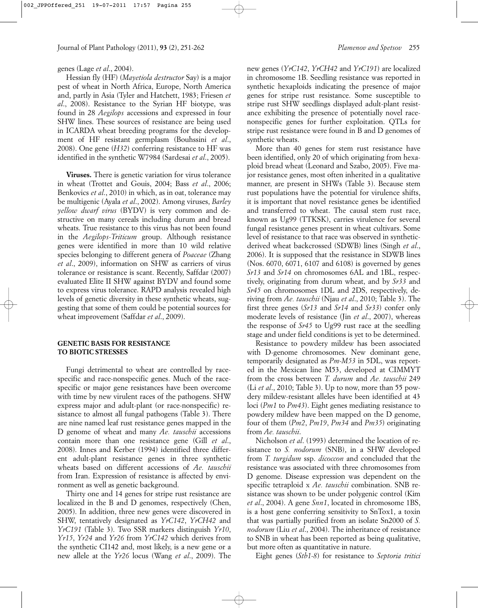#### genes (Lage *et al*., 2004).

Hessian fly (HF) (*Mayetiola destructor* Say) is a major pest of wheat in North Africa, Europe, North America and, partly in Asia (Tyler and Hatchett, 1983; Friesen *et al*., 2008). Resistance to the Syrian HF biotype, was found in 28 *Aegilops* accessions and expressed in four SHW lines. These sources of resistance are being used in ICARDA wheat breeding programs for the development of HF resistant germplasm (Bouhssini *et al*., 2008). One gene (*H32*) conferring resistance to HF was identified in the synthetic W7984 (Sardesai *et al*., 2005).

**Viruses.** There is genetic variation for virus tolerance in wheat (Trottet and Gouis, 2004; Bass *et al*., 2006; Benkovics *et al*., 2010) in which, as in oat, tolerance may be multigenic (Ayala *et al*., 2002). Among viruses, *Barley yellow dwarf virus* (BYDV) is very common and destructive on many cereals including durum and bread wheats. True resistance to this virus has not been found in the *Aegilops*-*Triticum* group. Although resistance genes were identified in more than 10 wild relative species belonging to different genera of *Poaceae* (Zhang *et al*., 2009), information on SHW as carriers of virus tolerance or resistance is scant. Recently, Saffdar (2007) evaluated Elite II SHW against BYDV and found some to express virus tolerance. RAPD analysis revealed high levels of genetic diversity in these synthetic wheats, suggesting that some of them could be potential sources for wheat improvement (Saffdar *et al*., 2009).

### **GENETIC BASIS FOR RESISTANCE TO BIOTIC STRESSES**

Fungi detrimental to wheat are controlled by racespecific and race-nonspecific genes. Much of the racespecific or major gene resistances have been overcome with time by new virulent races of the pathogens. SHW express major and adult-plant (or race-nonspecific) resistance to almost all fungal pathogens (Table 3). There are nine named leaf rust resistance genes mapped in the D genome of wheat and many *Ae. tauschii* accessions contain more than one resistance gene (Gill *et al*., 2008). Innes and Kerber (1994) identified three different adult-plant resistance genes in three synthetic wheats based on different accessions of *Ae. tauschii* from Iran. Expression of resistance is affected by environment as well as genetic background.

Thirty one and 14 genes for stripe rust resistance are localized in the B and D genomes, respectively (Chen, 2005). In addition, three new genes were discovered in SHW, tentatively designated as *YrC142*, *YrCH42* and *YrC191* (Table 3). Two SSR markers distinguish *Yr10*, *Yr15*, *Yr24* and *Yr26* from *YrC142* which derives from the synthetic CI142 and, most likely, is a new gene or a new allele at the *Yr26* locus (Wang *et al*., 2009). The new genes (*YrC142*, *YrCH42* and *YrC191*) are localized in chromosome 1B. Seedling resistance was reported in synthetic hexaploids indicating the presence of major genes for stripe rust resistance. Some susceptible to stripe rust SHW seedlings displayed adult-plant resistance exhibiting the presence of potentially novel racenonspecific genes for further exploitation. QTLs for stripe rust resistance were found in B and D genomes of synthetic wheats.

More than 40 genes for stem rust resistance have been identified, only 20 of which originating from hexaploid bread wheat (Leonard and Szabo, 2005). Five major resistance genes, most often inherited in a qualitative manner, are present in SHWs (Table 3). Because stem rust populations have the potential for virulence shifts, it is important that novel resistance genes be identified and transferred to wheat. The causal stem rust race, known as Ug99 (TTKSK), carries virulence for several fungal resistance genes present in wheat cultivars. Some level of resistance to that race was observed in syntheticderived wheat backcrossed (SDWB) lines (Singh *et al*., 2006). It is supposed that the resistance in SDWB lines (Nos. 6070, 6071, 6107 and 6108) is governed by genes *Sr13* and *Sr14* on chromosomes 6AL and 1BL, respectively, originating from durum wheat, and by *Sr33* and *Sr45* on chromosomes 1DL and 2DS, respectively, deriving from *Ae. tauschii* (Njau *et al*., 2010; Table 3). The first three genes (*Sr13* and *Sr14* and *Sr33*) confer only moderate levels of resistance (Jin *et al*., 2007), whereas the response of *Sr45* to Ug99 rust race at the seedling stage and under field conditions is yet to be determined.

Resistance to powdery mildew has been associated with D-genome chromosomes. New dominant gene, temporarily designated as *Pm-M53* in 5DL, was reported in the Mexican line M53, developed at CIMMYT from the cross between *T. durum* and *Ae. tauschii* 249 (Li *et al*., 2010; Table 3). Up to now, more than 55 powdery mildew-resistant alleles have been identified at 43 loci (*Pm1* to *Pm43*). Eight genes mediating resistance to powdery mildew have been mapped on the D genome, four of them (*Pm2*, *Pm19*, *Pm34* and *Pm35*) originating from *Ae. tauschii*.

Nicholson *et al*. (1993) determined the location of resistance to *S. nodorum* (SNB), in a SHW developed from *T. turgidum* ssp. *dicoccon* and concluded that the resistance was associated with three chromosomes from D genome. Disease expression was dependent on the specific tetraploid x *Ae. tauschii* combination. SNB resistance was shown to be under polygenic control (Kim *et al*., 2004). A gene *Snn1*, located in chromosome 1BS, is a host gene conferring sensitivity to SnTox1, a toxin that was partially purified from an isolate Sn2000 of *S. nodorum* (Liu *et al*., 2004). The inheritance of resistance to SNB in wheat has been reported as being qualitative, but more often as quantitative in nature.

Eight genes (*Stb1-8*) for resistance to *Septoria tritici*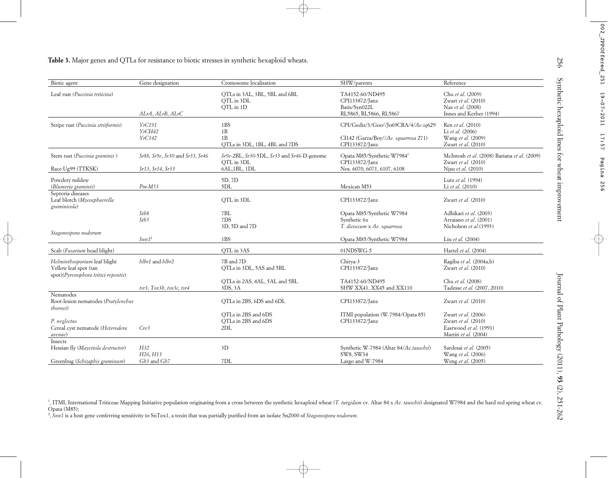| Biotic agent                                                     | Gene designation                    | Cromosome localisation                                | SHW/parents                             | Reference                                    |  |  |
|------------------------------------------------------------------|-------------------------------------|-------------------------------------------------------|-----------------------------------------|----------------------------------------------|--|--|
| Leaf rust (Puccinia triticina)                                   |                                     | QTLs in 3AL, 3BL, 5BL and 6BL                         | TA4152-60/ND495                         | Chu et al. (2009)                            |  |  |
|                                                                  |                                     | OTL in 3DL                                            | CPI133872/Janz                          | Zwart et al. (2010)                          |  |  |
|                                                                  |                                     | QTL in 1D                                             | Batis/Syn022L                           | Naz et al. (2008)                            |  |  |
|                                                                  | ALrA, ALrB, ALrC                    |                                                       | RL5865, RL5866, RL5867                  | Innes and Kerber (1994)                      |  |  |
| Stripe rust (Puccinia striiformis)                               | YrC191                              | 1BS                                                   | CPI/Gediz/3/Goo//Jo69CRA/4/Ae.sq629     | Ren et al. (2010)                            |  |  |
|                                                                  | YrCH42                              | 1B                                                    |                                         | Li et al. (2006)                             |  |  |
|                                                                  | YrC142                              | 1B                                                    | CI142 (Garza/Boy//Ae. squarrosa 271)    | Wang et al. (2009)                           |  |  |
|                                                                  |                                     | QTLs in 3DL, 1BL, 4BL and 7DS                         | CPI133872/Janz                          | Zwart et al. (2010)                          |  |  |
| Stem rust (Puccinia graminis)                                    | Sr8b, Sr9e, Sr30 and Sr33, Sr46     | $Sr9e-2BL$ , $Sr30-5DL$ , $Sr33$ and $Sr46-D$ -genome | Opata M85/Synthetic W79841              | McIntosh et al. (2008) Bariana et al. (2009) |  |  |
|                                                                  |                                     | OTL in 3DL                                            | CPI133872/Janz                          | Zwart et al. (2010)                          |  |  |
| Race Ug99 (TTKSK)                                                | Sr13, Sr14, Sr33                    | 6AL, 1BL, 1DL                                         | Nos. 6070, 6071, 6107, 6108             | Njau et al. (2010)                           |  |  |
| Powdery mildew                                                   |                                     | 5D, 7D                                                |                                         | Lutz et al. (1994)                           |  |  |
| (Blumeria graminis)                                              | $Pm-M53$                            | 5DL                                                   | Mexican M53                             | Li et al. (2010)                             |  |  |
| Septoria diseases<br>Leaf blotch (Mycosphaerella<br>graminicola) |                                     | OTL in 3DL                                            | CPI133872/Janz                          | Zwart et al. (2010)                          |  |  |
|                                                                  | Stb8                                | 7BL                                                   | Opata M85/Synthetic W7984               | Adhikari et al. (2003)                       |  |  |
|                                                                  | Stb5                                | 7DS                                                   | Synthetic 6x                            | Arraiano et al. (2001)                       |  |  |
|                                                                  |                                     | 3D, 5D and 7D                                         | T. dicoccum x Ae. squarrosa             | Nicholson et al.(1993)                       |  |  |
| Stagonospora nodorum                                             |                                     |                                                       |                                         |                                              |  |  |
|                                                                  | Snn1 <sup>2</sup>                   | 1BS                                                   | Opata M85/Synthetic W7984               | Liu et al. (2004)                            |  |  |
| Scab (Fusarium head blight)                                      |                                     | QTL in 3AS                                            | 01NDSWG-5                               | Hartel et al. (2004)                         |  |  |
| Helminthosporium leaf blight                                     | blbr1 and blbr2                     | 7B and 7D                                             | Chirya-3                                | Ragiba et al. (2004a,b)                      |  |  |
| Yellow leaf spot (tan                                            |                                     | QTLs in 3DL, 5AS and 5BL                              | CPI133872/Janz                          | Zwart et al. (2010)                          |  |  |
| spot)(Pyrenophora tritici-repentis)                              |                                     |                                                       |                                         |                                              |  |  |
|                                                                  |                                     | QTLs in 2AS, 4AL, 5AL and 5BL                         | TA4152-60/ND495                         | Chu et al. (2008)                            |  |  |
| Nematodes                                                        | $tsr3$ , $Tsn3b$ , $tsn3c$ , $tsr4$ | 3DS, 3A                                               | SHW XX41, XX45 and XX110                | Tadesse et al. (2007, 2010)                  |  |  |
| Root-lesion nematodes (Pratylenchus<br><i>thornei</i> )          |                                     | QTLs in 2BS, 6DS and 6DL                              | CPI133872/Janz                          | Zwart et al. (2010)                          |  |  |
|                                                                  |                                     | QTLs in 2BS and 6DS                                   | ITMI population (W-7984/Opata 85)       | Zwart et al. (2006)                          |  |  |
| P. neglectus                                                     |                                     | QTLs in 2BS and 6DS                                   | CPI133872/Janz                          | Zwart et al. (2010)                          |  |  |
| Cereal cyst nematode (Heterodera                                 | Cre3                                | 2DL                                                   |                                         | Eastwood et al. (1991)                       |  |  |
| avenae)<br>Insects                                               |                                     |                                                       |                                         | Martin et al. (2004)                         |  |  |
| Hessian fly (Mayetiola destructor)                               | H32                                 | 3D                                                    | Synthetic W-7984 (Altar 84/Ae.tauschii) | Sardesai et al. (2005)                       |  |  |
|                                                                  | H <sub>26</sub> , H <sub>13</sub>   |                                                       | SW8, SW34                               | Wang et al. (2006)                           |  |  |
|                                                                  | Gb3 and Gb7                         | 7DL                                                   | Largo and W-7984                        | Weng et al. (2005)                           |  |  |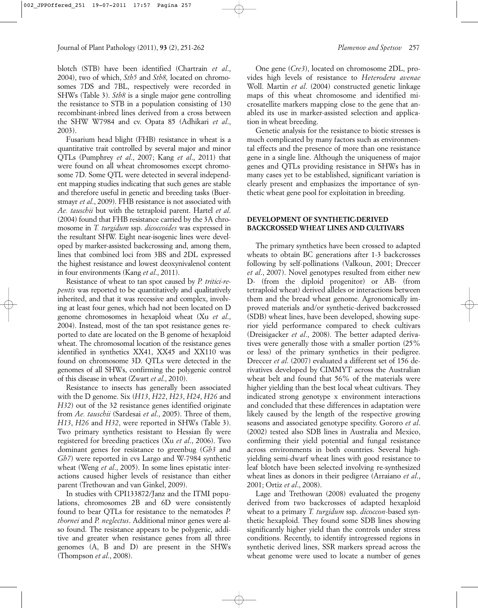blotch (STB) have been identified (Chartrain *et al*., 2004), two of which, *Stb5* and *Stb8,* located on chromosomes 7DS and 7BL, respectively were recorded in SHWs (Table 3). *Stb8* is a single major gene controlling the resistance to STB in a population consisting of 130 recombinant-inbred lines derived from a cross between the SHW W7984 and cv. Opata 85 (Adhikari *et al*., 2003).

Fusarium head blight (FHB) resistance in wheat is a quantitative trait controlled by several major and minor QTLs (Pumphrey *et al*., 2007; Kang *et al*., 2011) that were found on all wheat chromosomes except chromosome 7D. Some QTL were detected in several independent mapping studies indicating that such genes are stable and therefore useful in genetic and breeding tasks (Buerstmayr *et al*., 2009). FHB resistance is not associated with *Ae. tauschii* but with the tetraploid parent. Hartel *et al*. (2004) found that FHB resistance carried by the 3A chromosome in *T. turgidum* ssp. *dicoccoides* was expressed in the resultant SHW. Eight near-isogenic lines were developed by marker-assisted backcrossing and, among them, lines that combined loci from 3BS and 2DL expressed the highest resistance and lowest deoxynivalenol content in four environments (Kang *et al*., 2011).

Resistance of wheat to tan spot caused by *P. tritici*-*repentis* was reported to be quantitatively and qualitatively inherited, and that it was recessive and complex, involving at least four genes, which had not been located on D genome chromosomes in hexaploid wheat (Xu *et al*., 2004). Instead, most of the tan spot resistance genes reported to date are located on the B genome of hexaploid wheat. The chromosomal location of the resistance genes identified in synthetics XX41, XX45 and XX110 was found on chromosome 3D. QTLs were detected in the genomes of all SHWs, confirming the polygenic control of this disease in wheat (Zwart *et al*., 2010).

Resistance to insects has generally been associated with the D genome. Six (*H13*, *H22*, *H23*, *H24*, *H26* and *H32*) out of the 32 resistance genes identified originate from *Ae. tauschii* (Sardesai *et al*., 2005). Three of them, *H13*, *H26* and *H32*, were reported in SHWs (Table 3). Two primary synthetics resistant to Hessian fly were registered for breeding practices (Xu *et al*., 2006). Two dominant genes for resistance to greenbug (*Gb3* and *Gb7*) were reported in cvs Largo and W-7984 synthetic wheat (Weng *et al*., 2005). In some lines epistatic interactions caused higher levels of resistance than either parent (Trethowan and van Ginkel, 2009).

In studies with CPI133872/Janz and the ITMI populations, chromosomes 2B and 6D were consistently found to bear QTLs for resistance to the nematodes *P. thornei* and *P. neglectus*. Additional minor genes were also found. The resistance appears to be polygenic, additive and greater when resistance genes from all three genomes (A, B and D) are present in the SHWs (Thompson *et al*., 2008).

One gene (*Cre3*), located on chromosome 2DL, provides high levels of resistance to *Heterodera avenae* Woll. Martin *et al*. (2004) constructed genetic linkage maps of this wheat chromosome and identified microsatellite markers mapping close to the gene that anabled its use in marker-assisted selection and application in wheat breeding.

Genetic analysis for the resistance to biotic stresses is much complicated by many factors such as environmental effects and the presence of more than one resistance gene in a single line. Although the uniqueness of major genes and QTLs providing resistance in SHWs has in many cases yet to be established, significant variation is clearly present and emphasizes the importance of synthetic wheat gene pool for exploitation in breeding.

# **DEVELOPMENT OF SYNTHETIC-DERIVED BACKCROSSED WHEAT LINES AND CULTIVARS**

The primary synthetics have been crossed to adapted wheats to obtain BC generations after 1-3 backcrosses following by self-pollinations (Valkoun, 2001; Dreccer *et al*., 2007). Novel genotypes resulted from either new D- (from the diploid progenitor) or AB- (from tetraploid wheat) derived alleles or interactions between them and the bread wheat genome. Agronomically improved materials and/or synthetic-derived backcrossed (SDB) wheat lines, have been developed, showing superior yield performance compared to check cultivars (Dreisigacker *et al*., 2008). The better adapted derivatives were generally those with a smaller portion (25% or less) of the primary synthetics in their pedigree. Dreccer *et al*. (2007) evaluated a different set of 156 derivatives developed by CIMMYT across the Australian wheat belt and found that 56% of the materials were higher yielding than the best local wheat cultivars. They indicated strong genotype x environment interactions and concluded that these differences in adaptation were likely caused by the length of the respective growing seasons and associated genotype specifity. Gororo *et al*. (2002) tested also SDB lines in Australia and Mexico, confirming their yield potential and fungal resistance across environments in both countries. Several highyielding semi-dwarf wheat lines with good resistance to leaf blotch have been selected involving re-synthesized wheat lines as donors in their pedigree (Arraiano *et al*., 2001; Ortiz *et al*., 2008).

Lage and Trethowan (2008) evaluated the progeny derived from two backcrosses of adapted hexaploid wheat to a primary *T. turgidum* ssp. *dicoccon*-based synthetic hexaploid. They found some SDB lines showing significantly higher yield than the controls under stress conditions. Recently, to identify introgressed regions in synthetic derived lines, SSR markers spread across the wheat genome were used to locate a number of genes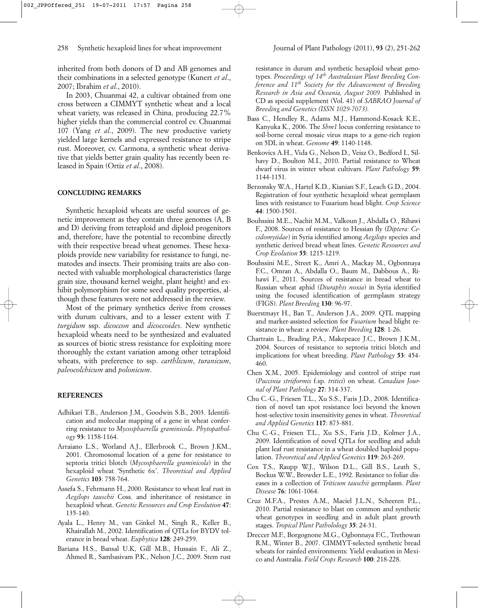inherited from both donors of D and AB genomes and their combinations in a selected genotype (Kunert *et al*., 2007; Ibrahim *et al*., 2010).

In 2003, Chuanmai 42, a cultivar obtained from one cross between a CIMMYT synthetic wheat and a local wheat variety, was released in China, producing 22.7% higher yields than the commercial control cv. Chuanmai 107 (Yang *et al*., 2009). The new productive variety yielded large kernels and expressed resistance to stripe rust. Moreover, cv. Carmona, a synthetic wheat derivative that yields better grain quality has recently been released in Spain (Ortiz *et al*., 2008).

#### **CONCLUDING REMARKS**

Synthetic hexaploid wheats are useful sources of genetic improvement as they contain three genomes (A, B and D) deriving from tetraploid and diploid progenitors and, therefore, have the potential to recombine directly with their respective bread wheat genomes. These hexaploids provide new variability for resistance to fungi, nematodes and insects. Their promising traits are also connected with valuable morphological characteristics (large grain size, thousand kernel weight, plant height) and exhibit polymorphism for some seed quality properties, although these features were not addressed in the review.

Most of the primary synthetics derive from crosses with durum cultivars, and to a lesser extent with *T. turgidum* ssp. *dicoccon* and *dicoccoides*. New synthetic hexaploid wheats need to be synthesized and evaluated as sources of biotic stress resistance for exploiting more thoroughly the extant variation among other tetraploid wheats, with preference to ssp. *carthlicum*, *turanicum*, *paleocolchicum* and *polonicum*.

#### **REFERENCES**

- Adhikari T.B., Anderson J.M., Goodwin S.B., 2003. Identification and molecular mapping of a gene in wheat conferring resistance to *Mycosphaerella graminicola*. *Phytopathology* **93**: 1158-1164.
- Arraiano L.S., Worland A.J., Ellerbrook C., Brown J.KM., 2001. Chromosomal location of a gene for resistance to septoria tritici blotch (*Mycosphaerella graminicola*) in the hexaploid wheat 'Synthetic 6x'. *Theoretical and Applied Genetics* **103**: 758-764.
- Assefa S., Fehrmann H., 2000. Resistance to wheat leaf rust in *Aegilops tauschii* Coss. and inheritance of resistance in hexaploid wheat. *Genetic Resources and Crop Evolution* **47**: 135-140.
- Ayala L., Henry M., van Ginkel M., Singh R., Keller B., Khairallah M., 2002. Identification of QTLs for BYDV tolerance in bread wheat. *Euphytica* **128**: 249-259.
- Bariana H.S., Bansal U.K, Gill M.B., Hussain F., Ali Z., Ahmed R., Sambasivam P.K., Nelson J.C., 2009. Stem rust
- Bass C., Hendley R., Adams M.J., Hammond-Kosack K.E., Kanyuka K., 2006. The *Sbm1* locus conferring resistance to soil-borne cereal mosaic virus maps to a gene-rich region on 5DL in wheat. *Genome* **49**: 1140-1148.
- Benkovics A.H., Vida G., Nelson D., Veisz O., Bedford I., Silhavy D., Boulton M.I., 2010. Partial resistance to Wheat dwarf virus in winter wheat cultivars. *Plant Pathology* **59**: 1144-1151.
- Berzonsky W.A., Hartel K.D., Kianian S.F., Leach G.D., 2004. Registration of four synthetic hexaploid wheat germplasm lines with resistance to Fusarium head blight. *Crop Science* **44**: 1500-1501.
- Bouhssini M.E., Nachit M.M., Valkoun J., Abdalla O., Rihawi F., 2008. Sources of resistance to Hessian fly (*Diptera: Cecidomyiidae*) in Syria identified among *Aegilops* species and synthetic derived bread wheat lines. *Genetic Resources and Crop Evolution* **55**: 1215-1219.
- Bouhssini M.E., Street K., Amri A., Mackay M., Ogbonnaya F.C., Omran A., Abdalla O., Baum M., Dabbous A., Rihawi F., 2011. Sources of resistance in bread wheat to Russian wheat aphid (*Diuraphis noxia*) in Syria identified using the focused identification of germplasm strategy (FIGS). *Plant Breeding* **130**: 96-97.
- Buerstmayr H., Ban T., Anderson J.A., 2009. QTL mapping and marker-assisted selection for *Fusarium* head blight resistance in wheat: a review. *Plant Breeding* **128**: 1-26.
- Chartrain L., Brading P.A., Makepeace J.C., Brown J.K.M., 2004. Sources of resistance to septoria tritici blotch and implications for wheat breeding. *Plant Pathology* **53**: 454- 460.
- Chen X.M., 2005. Epidemiology and control of stripe rust (*Puccinia striiformis* f.sp. *tritici*) on wheat. *Canadian Journal of Plant Pathology* **27**: 314-337.
- Chu C.-G., Friesen T.L., Xu S.S., Faris J.D., 2008. Identification of novel tan spot resistance loci beyond the known host-selective toxin insensitivity genes in wheat. *Theoretical and Applied Genetics* **117**: 873-881.
- Chu C.-G., Friesen T.L., Xu S.S., Faris J.D., Kolmer J.A., 2009. Identification of novel QTLs for seedling and adult plant leaf rust resistance in a wheat doubled haploid population. *Theoretical and Applied Genetics* **119**: 263-269.
- Cox T.S., Raupp W.J., Wilson D.L., Gill B.S., Leath S., Bockus W.W., Browder L.E., 1992. Resistance to foliar diseases in a collection of *Triticum tauschii* germplasm. *Plant Disease* **76**: 1061-1064.
- Cruz M.F.A., Prestes A.M., Maciel J.L.N., Scheeren P.L., 2010. Partial resistance to blast on common and synthetic wheat genotypes in seedling and in adult plant growth stages. *Tropical Plant Patholology* **35**: 24-31.
- Dreccer M.F., Borgognone M.G., Ogbonnaya F.C., Trethowan R.M., Winter B., 2007. CIMMYT-selected synthetic bread wheats for rainfed environments: Yield evaluation in Mexico and Australia. *Field Crops Research* **100**: 218-228.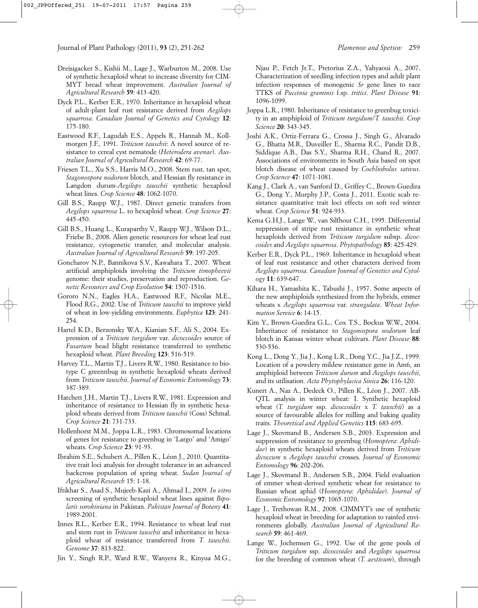- Dreisigacker S., Kishii M., Lage J., Warburton M., 2008. Use of synthetic hexaploid wheat to increase diversity for CIM-MYT bread wheat improvement. *Australian Journal of Agricultural Research* **59**: 413-420.
- Dyck P.L., Kerber E.R., 1970. Inheritance in hexaploid wheat of adult-plant leaf rust resistance derived from *Aegilops squarrosa*. *Canadian Journal of Genetics and Cytology* **12**: 175-180.
- Eastwood R.F., Lagudah E.S., Appels R., Hannah M., Kollmorgen J.F., 1991. *Triticum tauschii*: A novel source of resistance to cereal cyst nematode (*Heterodera avenae*). *Australian Journal of Agricultural Research* **42**: 69-77.
- Friesen T.L., Xu S.S., Harris M.O., 2008. Stem rust, tan spot, *Stagonospora nodorum* blotch, and Hessian fly resistance in Langdon durum-*Aegilops tauschii* synthetic hexaploid wheat lines. *Crop Science* **48**: 1062-1070.
- Gill B.S., Raupp W.J., 1987. Direct genetic transfers from *Aegilops squarrosa* L. to hexaploid wheat. *Crop Science* **27**: 445-450.
- Gill B.S., Huang L., Kuraparthy V., Raupp W.J., Wilson D.L., Friebe B., 2008. Alien genetic resources for wheat leaf rust resistance, cytogenetic transfer, and molecular analysis. *Australian Journal of Agricultural Research* **59**: 197-205.
- Goncharov N.P., Bannikova S.V., Kawahara T., 2007. Wheat artificial amphiploids involving the *Triticum timopheevii* genome: their studies, preservation and reproduction. *Genetic Resources and Crop Evolution* **54**: 1507-1516.
- Gororo N.N., Eagles H.A., Eastwood R.F., Nicolas M.E., Flood R.G., 2002. Use of *Triticum tauschii* to improve yield of wheat in low-yielding environments. *Euphytica* **123**: 241- 254.
- Hartel K.D., Berzonsky W.A., Kianian S.F., Ali S., 2004. Expression of a *Triticum turgidum* var. *dicoccoides* source of *Fusarium* head blight resistance transferred to synthetic hexaploid wheat. *Plant Breeding* **123**: 516-519.
- Harvey T.L., Martin T.J., Livers R.W., 1980. Resistance to biotype C greennbug in synthetic hexaploid wheats derived from *Triticum tauschii*. *Journal of Economic Entomology* **73**: 387-389.
- Hatchett J.H., Martin T.J., Livers R.W., 1981. Expression and inheritance of resistance to Hessian fly in synthetic hexaploid wheats derived from *Triticum tauschii* (Coss) Schmal. *Crop Science* **21**: 731-733.
- Hollenhorst M.M., Joppa L.R., 1983. Chromosomal locations of genes for resistance to greenbug in 'Largo' and 'Amigo' wheats. *Crop Science* **23**: 91-93.
- Ibrahim S.E., Schubert A., Pillen K., Léon J., 2010. Quantitative trait loci analysis for drought tolerance in an advanced backcross population of spring wheat. *Sudan Journal of Agricultural Research* 15: 1-18.
- Iftikhar S., Asad S., Mujeeb-Kazi A., Ahmad I., 2009. *In vitro* screening of synthetic hexaploid wheat lines against *Bipolaris sorokiniana* in Pakistan. *Pakistan Journal of Botany* **41**: 1989-2001.
- Innes R.L., Kerber E.R., 1994. Resistance to wheat leaf rust and stem rust in *Triticum tauschii* and inheritance in hexaploid wheat of resistance transferred from *T. tauschii*. *Genome* **37**: 813-822.
- Jin Y., Singh R.P., Ward R.W., Wanyera R., Kinyua M.G.,

Njau P., Fetch Jr.T., Pretorius Z.A., Yahyaoui A., 2007. Characterization of seedling infection types and adult plant infection responses of monogenic *Sr* gene lines to race TTKS of *Puccinia graminis* f.sp. *tritici*. *Plant Disease* **91**: 1096-1099.

- Joppa L.R., 1980. Inheritance of resistance to greenbug toxicity in an amphiploid of *Triticum turgidum*/*T. tauschii*. *Crop Science* **20**: 343-345.
- Joshi A.K., Ortiz-Ferrara G., Crossa J., Singh G., Alvarado G., Bhatta M.R., Duveiller E., Sharma R.C., Pandit D.B., Siddique A.B., Das S.Y., Sharma R.H., Chand R., 2007. Associations of environments in South Asia based on spot blotch disease of wheat caused by *Cochliobolus sativus*. *Crop Science* **47**: 1071-1081.
- Kang J., Clark A., van Sanford D., Griffey C., Brown-Guedira G., Dong Y., Murphy J.P., Costa J., 2011. Exotic scab resistance quantitative trait loci effects on soft red winter wheat. *Crop Science* **51**: 924-933.
- Kema G.H.J., Lange W., van Silfhout C.H., 1995. Differential suppression of stripe rust resistance in synthetic wheat hexaploids derived from *Triticum turgidum* subsp. *dicoccoides* and *Aegilops squarrosa*. *Phytopathology* **85**: 425-429.
- Kerber E.R., Dyck P.L., 1969. Inheritance in hexaploid wheat of leaf rust resistance and other characters derived from *Aegilops squarrosa*. *Canadian Journal of Genetics and Cytology* **11**: 639-647.
- Kihara H., Yamashita K., Tabushi J., 1957. Some aspects of the new amphiploids synthesized from the hybrids, emmer wheats x *Aegilops squarrosa* var. *strangulata*. *Wheat Information Service* **6**: 14-15.
- Kim Y., Brown-Guedira G.L., Cox T.S., Bockus W.W., 2004. Inheritance of resistance to *Stagonospora nodorum* leaf blotch in Kansas winter wheat cultivars. *Plant Disease* **88**: 530-536.
- Kong L., Dong Y., Jia J., Kong L.R., Dong Y.C., Jia J.Z., 1999. Location of a powdery mildew resistance gene in Am6, an amphiploid between *Triticum durum* and *Aegilops tauschii*, and its utilisation. *Acta Phytophylacica Sinica* **26**: 116-120.
- Kunert A., Naz A., Dedeck O., Pillen K., Léon J., 2007. AB-QTL analysis in winter wheat: I. Synthetic hexaploid wheat (*T. turgidum* ssp. *dicoccoides* x *T. tauschii*) as a source of favourable alleles for milling and baking quality traits. *Theoretical and Applied Genetics* **115**: 683-695.
- Lage J., Skovmand B., Andersen S.B., 2003. Expression and suppression of resistance to greenbug (*Homoptera*: *Aphididae*) in synthetic hexaploid wheats derived from *Triticum dicoccum* x *Aegilops tauschii* crosses. *Journal of Economic Entomology* **96**: 202-206.
- Lage J., Skovmand B., Andersen S.B., 2004. Field evaluation of emmer wheat-derived synthetic wheat for resistance to Russian wheat aphid (*Homoptera*: *Aphididae*). *Journal of Economic Entomology* **97**: 1065-1070.
- Lage J., Trethowan R.M., 2008. CIMMYT's use of synthetic hexaploid wheat in breeding for adaptation to rainfed environments globally. *Australian Journal of Agricultural Research* **59**: 461-469.
- Lange W., Jochemsen G., 1992. Use of the gene pools of *Triticum turgidum* ssp. *dicoccoides* and *Aegilops squarrosa* for the breeding of common wheat (*T. aestivum*), through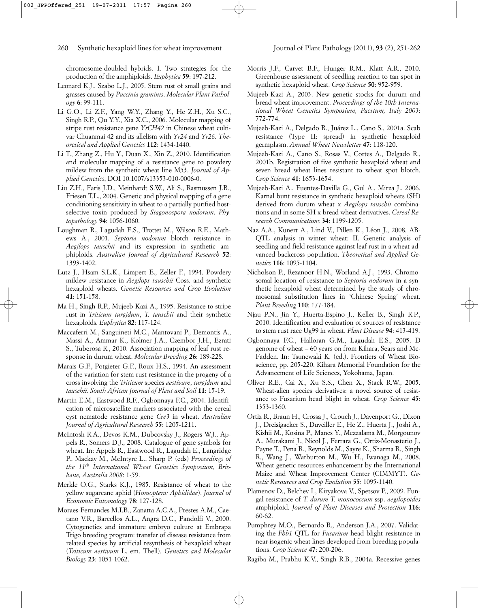chromosome-doubled hybrids. I. Two strategies for the production of the amphiploids. *Euphytica* **59**: 197-212.

- Leonard K.J., Szabo L.J., 2005. Stem rust of small grains and grasses caused by *Puccinia graminis*. *Molecular Plant Pathology* **6**: 99-111.
- Li G.O., Li Z.F., Yang W.Y., Zhang Y., He Z.H., Xu S.C., Singh R.P., Qu Y.Y., Xia X.C., 2006. Molecular mapping of stripe rust resistance gene *YrCH42* in Chinese wheat cultivar Chuanmai 42 and its allelism with *Yr24* and *Yr26*. *Theoretical and Applied Genetics* **112**: 1434-1440.
- Li T., Zhang Z., Hu Y., Duan X., Xin Z., 2010. Identification and molecular mapping of a resistance gene to powdery mildew from the synthetic wheat line M53. *Journal of Applied Genetics*, DOI 10.1007/s13353-010-0006-0.
- Liu Z.H., Faris J.D., Meinhardt S.W., Ali S., Rasmussen J.B., Friesen T.L., 2004. Genetic and physical mapping of a gene conditioning sensitivity in wheat to a partially purified hostselective toxin produced by *Stagonospora nodorum*. *Phytopathology* **94**: 1056-1060.
- Loughman R., Lagudah E.S., Trottet M., Wilson R.E., Mathews A., 2001. *Septoria nodorum* blotch resistance in *Aegilops tauschii* and its expression in synthetic amphiploids. *Australian Journal of Agricultural Research* **52**: 1393-1402.
- Lutz J., Hsam S.L.K., Limpert E., Zeller F., 1994. Powdery mildew resistance in *Aegilops tauschii* Coss. and synthetic hexaploid wheats. *Genetic Resources and Crop Evolution* **41**: 151-158.
- Ma H., Singh R.P., Mujeeb-Kazi A., 1995. Resistance to stripe rust in *Triticum turgidum*, *T. tauschii* and their synthetic hexaploids. *Euphytica* **82**: 117-124.
- Maccaferri M., Sanguineti M.C., Mantovani P., Demontis A., Massi A., Ammar K., Kolmer J.A., Czembor J.H., Ezrati S., Tuberosa R., 2010. Association mapping of leaf rust response in durum wheat. *Molecular Breeding* **26**: 189-228.
- Marais G.F., Potgieter G.F., Roux H.S., 1994. An assessment of the variation for stem rust resistance in the progeny of a cross involving the *Triticum* species *aestivum*, *turgidum* and *tauschii*. *South African Journal of Plant and Soil* **11**: 15-19.
- Martin E.M., Eastwood R.F., Ogbonnaya F.C., 2004. Identification of microsatellite markers associated with the cereal cyst nematode resistance gene *Cre3* in wheat. *Australian Journal of Agricultural Research* **55**: 1205-1211.
- McIntosh R.A., Devos K.M., Dubcovsky J., Rogers W.J., Appels R., Somers D.J., 2008. Catalogue of gene symbols for wheat. In: Appels R., Eastwood R., Lagudah E., Langridge P., Mackay M., McIntyre L., Sharp P. (eds) *Proceedings of the 11th International Wheat Genetics Symposium, Brisbane, Australia 2008*: 1-59.
- Merkle O.G., Starks K.J., 1985. Resistance of wheat to the yellow sugarcane aphid (*Homoptera: Aphididae*). *Journal of Economic Entomology* **78**: 127-128.
- Moraes-Fernandes M.I.B., Zanatta A.C.A., Prestes A.M., Caetano V.R., Barcellos A.L., Angra D.C., Pandolfi V., 2000. Cytogenetics and immature embryo culture at Embrapa Trigo breeding program: transfer of disease resistance from related species by artificial resynthesis of hexaploid wheat (*Triticum aestivum* L. em. Thell). *Genetics and Molecular Biology* **23**: 1051-1062.
- Morris J.F., Carvet B.F., Hunger R.M., Klatt A.R., 2010. Greenhouse assessment of seedling reaction to tan spot in synthetic hexaploid wheat. *Crop Science* **50**: 952-959.
- Mujeeb-Kazi A., 2003. New genetic stocks for durum and bread wheat improvement. *Proceedings of the 10th International Wheat Genetics Symposium, Paestum, Italy 2003*: 772-774.
- Mujeeb-Kazi A., Delgado R., Juárez L., Cano S., 2001a. Scab resistance (Type II: spread) in synthetic hexaploid germplasm. *Annual Wheat Newsletter* **47**: 118-120.
- Mujeeb-Kazi A., Cano S., Rosas V., Cortes A., Delgado R., 2001b. Registration of five synthetic hexaploid wheat and seven bread wheat lines resistant to wheat spot blotch. *Crop Science* **41**: 1653-1654.
- Mujeeb-Kazi A., Fuentes-Davilla G., Gul A., Mirza J., 2006. Karnal bunt resistance in synthetic hexaploid wheats (SH) derived from durum wheat x *Aegilops tauschii* combinations and in some SH x bread wheat derivatives. *Cereal Research Communications* **34**: 1199-1205.
- Naz A.A., Kunert A., Lind V., Pillen K., Léon J., 2008. AB-QTL analysis in winter wheat: II. Genetic analysis of seedling and field resistance against leaf rust in a wheat advanced backcross population. *Theoretical and Applied Genetics* **116**: 1095-1104.
- Nicholson P., Rezanoor H.N., Worland A.J., 1993. Chromosomal location of resistance to *Septoria nodorum* in a synthetic hexaploid wheat determined by the study of chromosomal substitution lines in 'Chinese Spring' wheat. *Plant Breeding* **110**: 177-184.
- Njau P.N., Jin Y., Huerta-Espino J., Keller B., Singh R.P., 2010. Identification and evaluation of sources of resistance to stem rust race Ug99 in wheat. *Plant Disease* **94**: 413-419.
- Ogbonnaya F.C., Halloran G.M., Lagudah E.S., 2005. D genome of wheat – 60 years on from Kihara, Sears and Mc-Fadden. In: Tsunewaki K. (ed.). Frontiers of Wheat Bioscience, pp. 205-220. Kihara Memorial Foundation for the Advancement of Life Sciences, Yokohama, Japan.
- Oliver R.E., Cai X., Xu S.S., Chen X., Stack R.W., 2005. Wheat-alien species derivatives: a novel source of resistance to Fusarium head blight in wheat. *Crop Science* **45**: 1353-1360.
- Ortiz R., Braun H., Crossa J., Crouch J., Davenport G., Dixon J., Dreisigacker S., Duveiller E., He Z., Huerta J., Joshi A., Kishii M., Kosina P., Manes Y., Mezzalama M., Morgounov A., Murakami J., Nicol J., Ferrara G., Ortiz-Monasterio J., Payne T., Pena R., Reynolds M., Sayre K., Sharma R., Singh R., Wang J., Warburton M., Wu H., Iwanaga M., 2008. Wheat genetic resources enhancement by the International Maize and Wheat Improvement Center (CIMMYT). *Genetic Resources and Crop Evolution* **55**: 1095-1140.
- Plamenov D., Belchev I., Kiryakova V., Spetsov P., 2009. Fungal resistance of *T. durum-T. monococcum* ssp. *aegilopoides* amphiploid. *Journal of Plant Diseases and Protection* **116**: 60-62.
- Pumphrey M.O., Bernardo R., Anderson J.A., 2007. Validating the *Fhb1* QTL for *Fusarium* head blight resistance in near-isogenic wheat lines developed from breeding populations. *Crop Science* **47**: 200-206.
- Ragiba M., Prabhu K.V., Singh R.B., 2004a. Recessive genes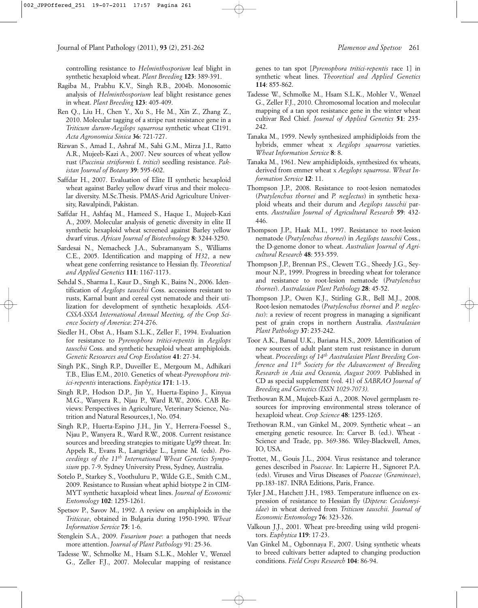controlling resistance to *Helminthosporium* leaf blight in synthetic hexaploid wheat. *Plant Breeding* **123**: 389-391.

- Ragiba M., Prabhu K.V., Singh R.B., 2004b. Monosomic analysis of *Helminthosporium* leaf blight resistance genes in wheat. *Plant Breeding* **123**: 405-409.
- Ren Q., Liu H., Chen Y., Xu S., He M., Xin Z., Zhang Z., 2010. Molecular tagging of a stripe rust resistance gene in a *Triticum durum*-*Aegilops squarrosa* synthetic wheat CI191. *Acta Agronomica Sinica* **36**: 721-727.
- Rizwan S., Amad I., Ashraf M., Sahi G.M., Mirza J.I., Ratto A.R., Mujeeb-Kazi A., 2007. New sources of wheat yellow rust (*Puccinia striiformis* f. *tritici*) seedling resistance. *Pakistan Journal of Botany* **39**: 595-602.
- Saffdar H., 2007. Evaluation of Elite II synthetic hexaploid wheat against Barley yellow dwarf virus and their molecular diversity. M.Sc.Thesis. PMAS-Arid Agriculture University, Rawalpindi, Pakistan.
- Saffdar H., Ashfaq M., Hameed S., Haque I., Mujeeb-Kazi A., 2009. Molecular analysis of genetic diversity in elite II synthetic hexaploid wheat screened against Barley yellow dwarf virus. *African Journal of Biotechnology* **8**: 3244-3250.
- Sardesai N., Nemacheck J.A., Subramanyam S., Williams C.E., 2005. Identification and mapping of *H32*, a new wheat gene conferring resistance to Hessian fly. *Theoretical and Applied Genetics* **111**: 1167-1173.
- Sehdal S., Sharma I., Kaur D., Singh K., Bains N., 2006. Identification of *Aegilops tauschii* Coss. accessions resistant to rusts, Karnal bunt and cereal cyst nematode and their utilization for development of synthetic hexaploids. *ASA-CSSA-SSSA International Annual Meeting, of the Crop Science Society of America*: 274-276.
- Siedler H., Obst A., Hsam S.L.K., Zeller F., 1994. Evaluation for resistance to *Pyrenophora tritici-repentis* in *Aegilops tauschii* Coss. and synthetic hexaploid wheat amphiploids. *Genetic Resources and Crop Evolution* **41**: 27-34.
- Singh P.K., Singh R.P., Duveiller E., Mergoum M., Adhikari T.B., Elias E.M., 2010. Genetics of wheat-*Pyrenophora tritici*-*repentis* interactions. *Euphytica* **171**: 1-13.
- Singh R.P., Hodson D.P., Jin Y., Huerta-Espino J., Kinyua M.G., Wanyera R., Njau P., Ward R.W., 2006. CAB Reviews: Perspectives in Agriculture, Veterinary Science, Nutrition and Natural Resources,1, No. 054.
- Singh R.P., Huerta-Espino J.H., Jin Y., Herrera-Foessel S., Njau P., Wanyera R., Ward R.W., 2008. Current resistance sources and breeding strategies to mitigate Ug99 threat. In: Appels R., Evans R., Langridge L., Lynne M. (eds). *Proceedings of the 11th International Wheat Genetics Symposium* pp. 7-9. Sydney University Press, Sydney, Australia.
- Sotelo P., Starkey S., Voothuluru P., Wilde G.E., Smith C.M., 2009. Resistance to Russian wheat aphid biotype 2 in CIM-MYT synthetic haxaploid wheat lines. *Journal of Economic Entomology* **102**: 1255-1261.
- Spetsov P., Savov M., 1992. A review on amphiploids in the *Triticeae*, obtained in Bulgaria during 1950-1990. *Wheat Information Service* **75**: 1-6.
- Stenglein S.A., 2009. *Fusarium poae*: a pathogen that needs more attention. *Journal of Plant Pathology* 91: 25-36.
- Tadesse W., Schmolke M., Hsam S.L.K., Mohler V., Wenzel G., Zeller F.J., 2007. Molecular mapping of resistance

genes to tan spot [*Pyrenophora tritici*-*repentis* race 1] in synthetic wheat lines. *Theoretical and Applied Genetics* **114**: 855-862.

- Tadesse W., Schmolke M., Hsam S.L.K., Mohler V., Wenzel G., Zeller F.J., 2010. Chromosomal location and molecular mapping of a tan spot resistance gene in the winter wheat cultivar Red Chief. *Journal of Applied Genetics* **51**: 235- 242.
- Tanaka M., 1959. Newly synthesized amphidiploids from the hybrids, emmer wheat x *Aegilops squarrosa* varieties. *Wheat Information Service* **8**: 8.
- Tanaka M., 1961. New amphidiploids, synthesized 6x wheats, derived from emmer wheat x *Aegilops squarrosa*. *Wheat Information Service* **12**: 11.
- Thompson J.P., 2008. Resistance to root-lesion nematodes (*Pratylenchus thornei* and *P. neglectus*) in synthetic hexaploid wheats and their durum and *Aegilops tauschii* parents. *Australian Journal of Agricultural Research* **59**: 432- 446.
- Thompson J.P., Haak M.I., 1997. Resistance to root-lesion nematode (*Pratylenchus thornei*) in *Aegilops tauschii* Coss., the D-genome donor to wheat. *Australian Journal of Agricultural Research* **48**: 553-559.
- Thompson J.P., Brennan P.S., Clewett T.G., Sheedy J.G., Seymour N.P., 1999. Progress in breeding wheat for tolerance and resistance to root-lesion nematode (*Pratylenchus thornei*). *Australasian Plant Pathology* **28**: 45-52.
- Thompson J.P., Owen K.J., Stirling G.R., Bell M.J., 2008. Root-lesion nematodes (*Pratylenchus thornei* and *P. neglectus*): a review of recent progress in managing a significant pest of grain crops in northern Australia. *Australasian Plant Pathology* **37**: 235-242.
- Toor A.K., Bansal U.K., Bariana H.S., 2009. Identification of new sources of adult plant stem rust resistance in durum wheat. *Proceedings of 14th Australasian Plant Breeding Conference and 11th Society for the Advancement of Breeding Research in Asia and Oceania, August 2009.* Published in CD as special supplement (vol. 41) of *SABRAO Journal of Breeding and Genetics (ISSN 1029-7073).*
- Trethowan R.M., Mujeeb-Kazi A., 2008. Novel germplasm resources for improving environmental stress tolerance of hexaploid wheat. *Crop Science* **48**: 1255-1265.
- Trethowan R.M., van Ginkel M., 2009. Synthetic wheat an emerging genetic resource. In: Carver B. (ed.). Wheat - Science and Trade, pp. 369-386. Wiley-Blackwell, Ames, IO, USA.
- Trottet, M., Gouis J.L., 2004. Virus resistance and tolerance genes described in *Poaceae*. In: Lapierre H., Signoret P.A. (eds). Viruses and Virus Diseases of *Poaceae* (*Gramineae*), pp.183-187. INRA Editions, Paris, France.
- Tyler J.M., Hatchett J.H., 1983. Temperature influence on expression of resistance to Hessian fly (*Diptera*: *Cecidomyiidae*) in wheat derived from *Triticum tauschii*. *Journal of Economic Entomology* **76**: 323-326.
- Valkoun J.J., 2001. Wheat pre-breeding using wild progenitors. *Euphytica* **119**: 17-23.
- Van Ginkel M., Ogbonnaya F., 2007. Using synthetic wheats to breed cultivars better adapted to changing production conditions. *Field Crops Research* **104**: 86-94.